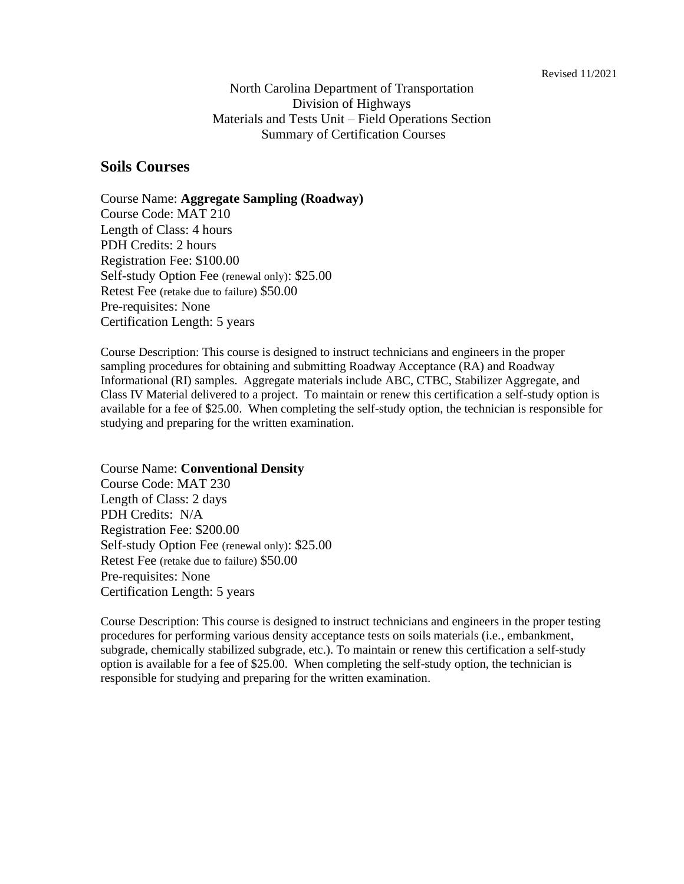North Carolina Department of Transportation Division of Highways Materials and Tests Unit – Field Operations Section Summary of Certification Courses

### **Soils Courses**

Course Name: **Aggregate Sampling (Roadway)** Course Code: MAT 210 Length of Class: 4 hours PDH Credits: 2 hours Registration Fee: \$100.00 Self-study Option Fee (renewal only): \$25.00 Retest Fee (retake due to failure) \$50.00 Pre-requisites: None Certification Length: 5 years

Course Description: This course is designed to instruct technicians and engineers in the proper sampling procedures for obtaining and submitting Roadway Acceptance (RA) and Roadway Informational (RI) samples. Aggregate materials include ABC, CTBC, Stabilizer Aggregate, and Class IV Material delivered to a project. To maintain or renew this certification a self-study option is available for a fee of \$25.00. When completing the self-study option, the technician is responsible for studying and preparing for the written examination.

Course Name: **Conventional Density** Course Code: MAT 230 Length of Class: 2 days PDH Credits: N/A Registration Fee: \$200.00 Self-study Option Fee (renewal only): \$25.00 Retest Fee (retake due to failure) \$50.00 Pre-requisites: None Certification Length: 5 years

Course Description: This course is designed to instruct technicians and engineers in the proper testing procedures for performing various density acceptance tests on soils materials (i.e., embankment, subgrade, chemically stabilized subgrade, etc.). To maintain or renew this certification a self-study option is available for a fee of \$25.00. When completing the self-study option, the technician is responsible for studying and preparing for the written examination.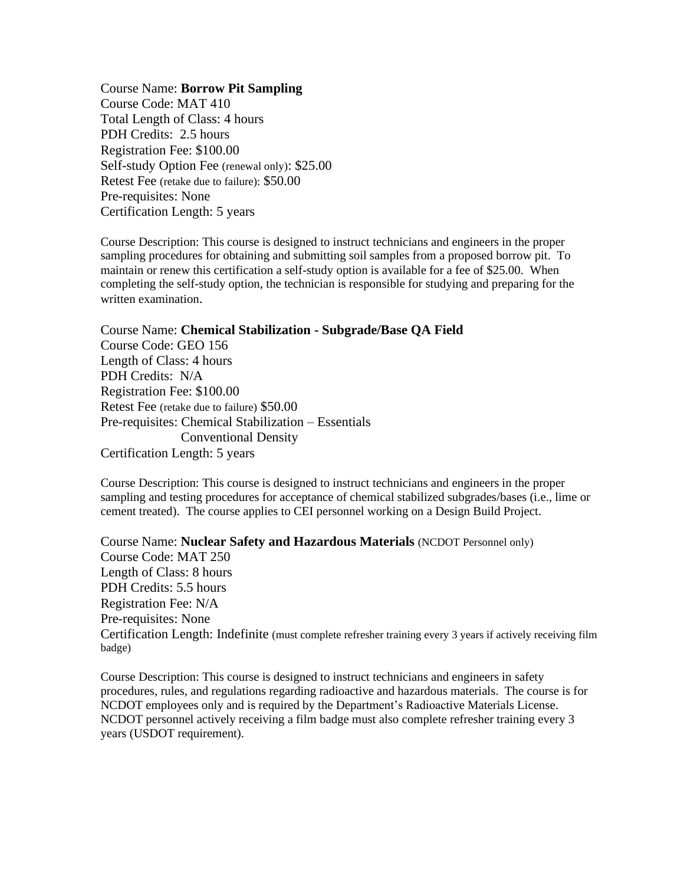Course Name: **Borrow Pit Sampling** Course Code: MAT 410 Total Length of Class: 4 hours PDH Credits: 2.5 hours Registration Fee: \$100.00 Self-study Option Fee (renewal only): \$25.00 Retest Fee (retake due to failure): \$50.00 Pre-requisites: None Certification Length: 5 years

Course Description: This course is designed to instruct technicians and engineers in the proper sampling procedures for obtaining and submitting soil samples from a proposed borrow pit. To maintain or renew this certification a self-study option is available for a fee of \$25.00. When completing the self-study option, the technician is responsible for studying and preparing for the written examination.

Course Name: **Chemical Stabilization - Subgrade/Base QA Field** Course Code: GEO 156 Length of Class: 4 hours PDH Credits: N/A Registration Fee: \$100.00 Retest Fee (retake due to failure) \$50.00 Pre-requisites: Chemical Stabilization – Essentials Conventional Density Certification Length: 5 years

Course Description: This course is designed to instruct technicians and engineers in the proper sampling and testing procedures for acceptance of chemical stabilized subgrades/bases (i.e., lime or cement treated). The course applies to CEI personnel working on a Design Build Project.

Course Name: **Nuclear Safety and Hazardous Materials** (NCDOT Personnel only) Course Code: MAT 250 Length of Class: 8 hours PDH Credits: 5.5 hours Registration Fee: N/A Pre-requisites: None Certification Length: Indefinite (must complete refresher training every 3 years if actively receiving film badge)

Course Description: This course is designed to instruct technicians and engineers in safety procedures, rules, and regulations regarding radioactive and hazardous materials. The course is for NCDOT employees only and is required by the Department's Radioactive Materials License. NCDOT personnel actively receiving a film badge must also complete refresher training every 3 years (USDOT requirement).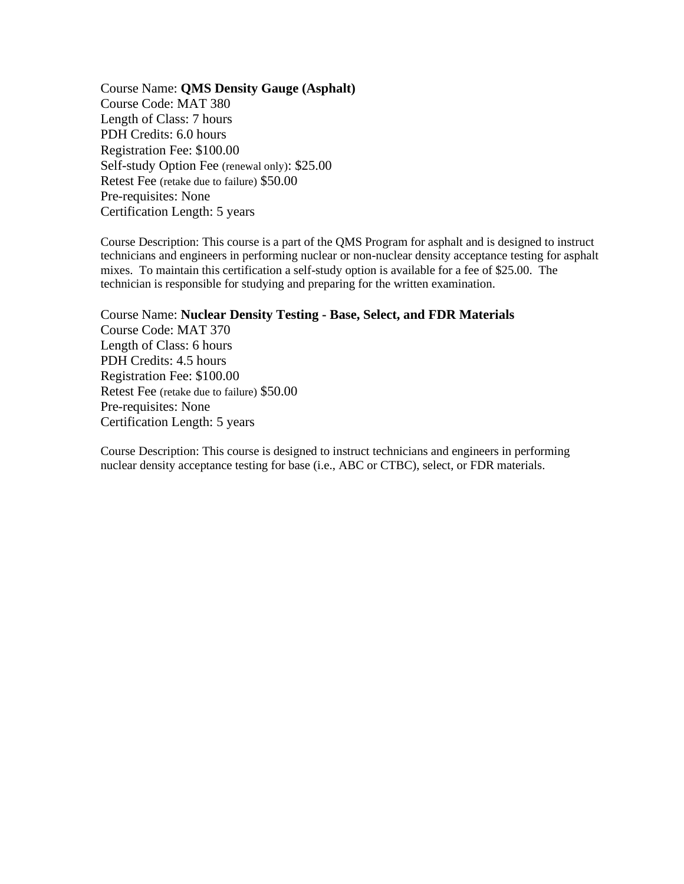Course Name: **QMS Density Gauge (Asphalt)** Course Code: MAT 380 Length of Class: 7 hours PDH Credits: 6.0 hours Registration Fee: \$100.00 Self-study Option Fee (renewal only): \$25.00 Retest Fee (retake due to failure) \$50.00 Pre-requisites: None Certification Length: 5 years

Course Description: This course is a part of the QMS Program for asphalt and is designed to instruct technicians and engineers in performing nuclear or non-nuclear density acceptance testing for asphalt mixes. To maintain this certification a self-study option is available for a fee of \$25.00. The technician is responsible for studying and preparing for the written examination.

Course Name: **Nuclear Density Testing - Base, Select, and FDR Materials**  Course Code: MAT 370 Length of Class: 6 hours PDH Credits: 4.5 hours Registration Fee: \$100.00 Retest Fee (retake due to failure) \$50.00 Pre-requisites: None Certification Length: 5 years

Course Description: This course is designed to instruct technicians and engineers in performing nuclear density acceptance testing for base (i.e., ABC or CTBC), select, or FDR materials.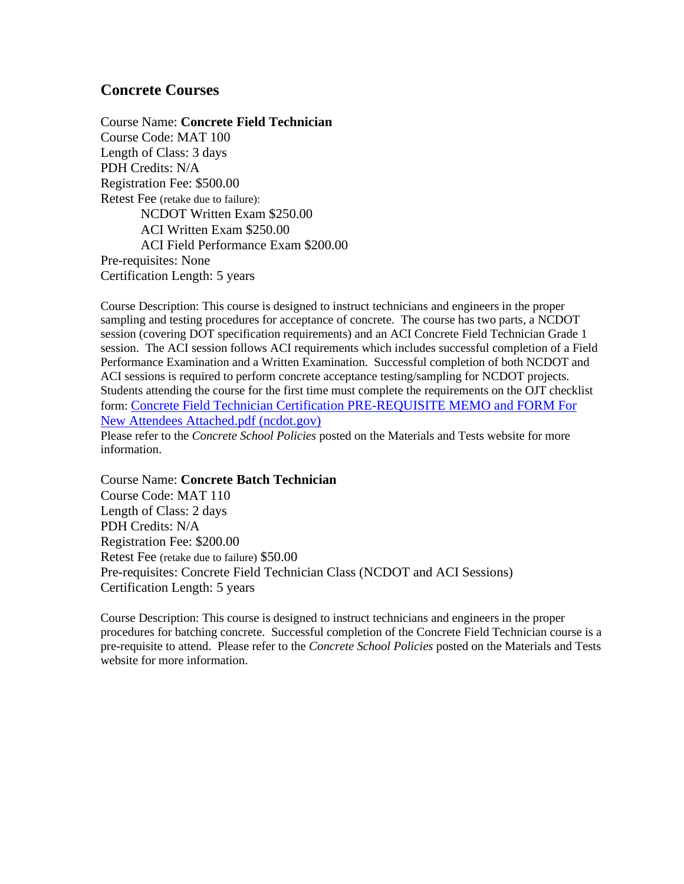## **Concrete Courses**

Course Name: **Concrete Field Technician** Course Code: MAT 100 Length of Class: 3 days PDH Credits: N/A Registration Fee: \$500.00 Retest Fee (retake due to failure): NCDOT Written Exam \$250.00 ACI Written Exam \$250.00 ACI Field Performance Exam \$200.00 Pre-requisites: None Certification Length: 5 years

Course Description: This course is designed to instruct technicians and engineers in the proper sampling and testing procedures for acceptance of concrete. The course has two parts, a NCDOT session (covering DOT specification requirements) and an ACI Concrete Field Technician Grade 1 session. The ACI session follows ACI requirements which includes successful completion of a Field Performance Examination and a Written Examination. Successful completion of both NCDOT and ACI sessions is required to perform concrete acceptance testing/sampling for NCDOT projects. Students attending the course for the first time must complete the requirements on the OJT checklist form: [Concrete Field Technician Certification](https://connect.ncdot.gov/resources/Materials/Materials/Concrete%20Field%20Technician%20Certification%20PRE-REQUISITE%20MEMO%20and%20FORM%20For%20New%20Attendees%20Attached.pdf) PRE-REQUISITE MEMO and FORM For [New Attendees Attached.pdf \(ncdot.gov\)](https://connect.ncdot.gov/resources/Materials/Materials/Concrete%20Field%20Technician%20Certification%20PRE-REQUISITE%20MEMO%20and%20FORM%20For%20New%20Attendees%20Attached.pdf)

Please refer to the *Concrete School Policies* posted on the Materials and Tests website for more information.

Course Name: **Concrete Batch Technician** Course Code: MAT 110 Length of Class: 2 days PDH Credits: N/A Registration Fee: \$200.00 Retest Fee (retake due to failure) \$50.00 Pre-requisites: Concrete Field Technician Class (NCDOT and ACI Sessions) Certification Length: 5 years

Course Description: This course is designed to instruct technicians and engineers in the proper procedures for batching concrete. Successful completion of the Concrete Field Technician course is a pre-requisite to attend. Please refer to the *Concrete School Policies* posted on the Materials and Tests website for more information.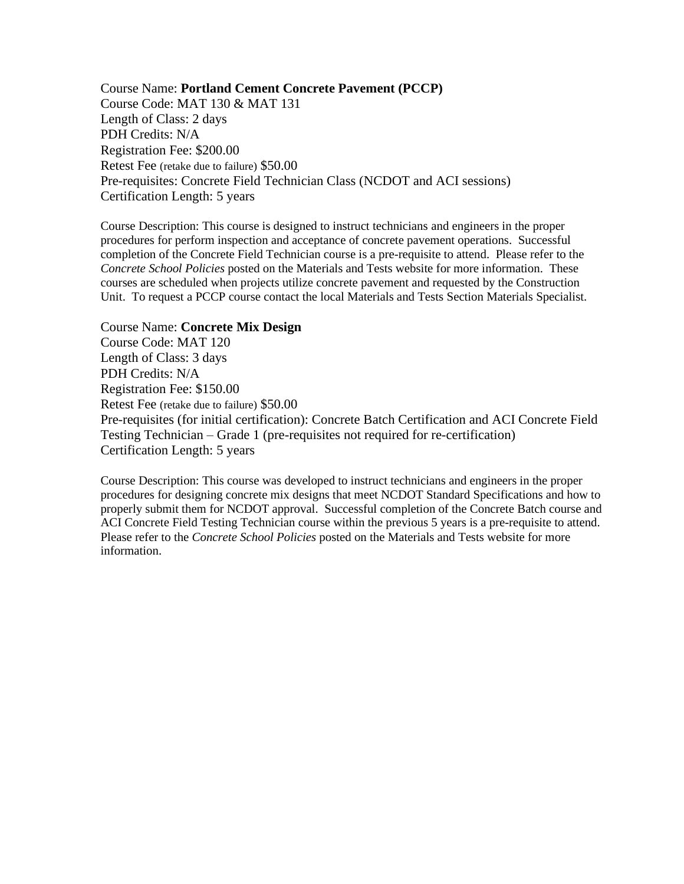Course Name: **Portland Cement Concrete Pavement (PCCP)** Course Code: MAT 130 & MAT 131 Length of Class: 2 days PDH Credits: N/A Registration Fee: \$200.00 Retest Fee (retake due to failure) \$50.00 Pre-requisites: Concrete Field Technician Class (NCDOT and ACI sessions) Certification Length: 5 years

Course Description: This course is designed to instruct technicians and engineers in the proper procedures for perform inspection and acceptance of concrete pavement operations. Successful completion of the Concrete Field Technician course is a pre-requisite to attend. Please refer to the *Concrete School Policies* posted on the Materials and Tests website for more information. These courses are scheduled when projects utilize concrete pavement and requested by the Construction Unit. To request a PCCP course contact the local Materials and Tests Section Materials Specialist.

#### Course Name: **Concrete Mix Design**

Course Code: MAT 120 Length of Class: 3 days PDH Credits: N/A Registration Fee: \$150.00 Retest Fee (retake due to failure) \$50.00 Pre-requisites (for initial certification): Concrete Batch Certification and ACI Concrete Field Testing Technician – Grade 1 (pre-requisites not required for re-certification) Certification Length: 5 years

Course Description: This course was developed to instruct technicians and engineers in the proper procedures for designing concrete mix designs that meet NCDOT Standard Specifications and how to properly submit them for NCDOT approval. Successful completion of the Concrete Batch course and ACI Concrete Field Testing Technician course within the previous 5 years is a pre-requisite to attend. Please refer to the *Concrete School Policies* posted on the Materials and Tests website for more information.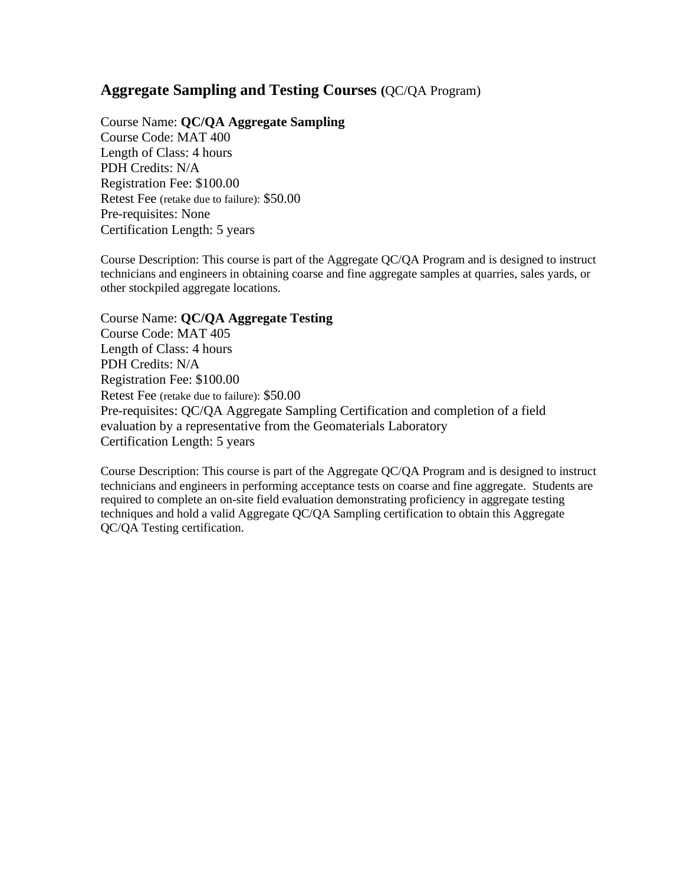# **Aggregate Sampling and Testing Courses (**QC/QA Program)

Course Name: **QC/QA Aggregate Sampling** Course Code: MAT 400 Length of Class: 4 hours PDH Credits: N/A Registration Fee: \$100.00 Retest Fee (retake due to failure): \$50.00 Pre-requisites: None Certification Length: 5 years

Course Description: This course is part of the Aggregate QC/QA Program and is designed to instruct technicians and engineers in obtaining coarse and fine aggregate samples at quarries, sales yards, or other stockpiled aggregate locations.

### Course Name: **QC/QA Aggregate Testing**

Course Code: MAT 405 Length of Class: 4 hours PDH Credits: N/A Registration Fee: \$100.00 Retest Fee (retake due to failure): \$50.00 Pre-requisites: QC/QA Aggregate Sampling Certification and completion of a field evaluation by a representative from the Geomaterials Laboratory Certification Length: 5 years

Course Description: This course is part of the Aggregate QC/QA Program and is designed to instruct technicians and engineers in performing acceptance tests on coarse and fine aggregate. Students are required to complete an on-site field evaluation demonstrating proficiency in aggregate testing techniques and hold a valid Aggregate QC/QA Sampling certification to obtain this Aggregate QC/QA Testing certification.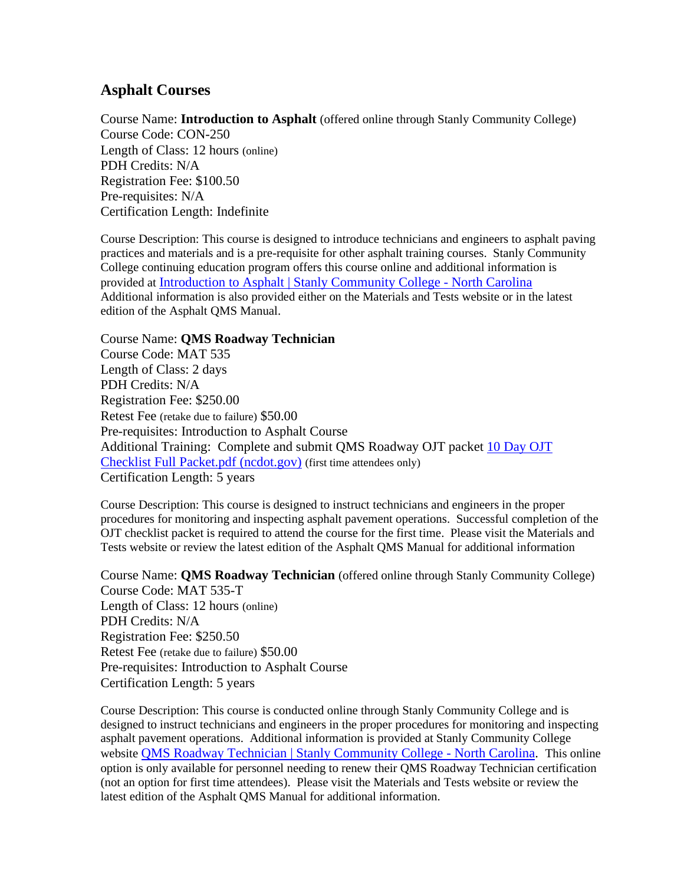## **Asphalt Courses**

Course Name: **Introduction to Asphalt** (offered online through Stanly Community College) Course Code: CON-250 Length of Class: 12 hours (online) PDH Credits: N/A Registration Fee: \$100.50 Pre-requisites: N/A Certification Length: Indefinite

Course Description: This course is designed to introduce technicians and engineers to asphalt paving practices and materials and is a pre-requisite for other asphalt training courses. Stanly Community College continuing education program offers this course online and additional information is provided at Introduction to [Asphalt | Stanly Community College -](https://www.stanly.edu/future-students/continuing-education/introduction-asphalt) North Carolina Additional information is also provided either on the Materials and Tests website or in the latest edition of the Asphalt QMS Manual.

Course Name: **QMS Roadway Technician** Course Code: MAT 535

Length of Class: 2 days PDH Credits: N/A Registration Fee: \$250.00 Retest Fee (retake due to failure) \$50.00 Pre-requisites: Introduction to Asphalt Course Additional Training: Complete and submit QMS Roadway OJT packet [10 Day OJT](https://connect.ncdot.gov/resources/Materials/Materials/10%20Day%20OJT%20Checklist%20Full%20Packet.pdf)  [Checklist Full Packet.pdf \(ncdot.gov\)](https://connect.ncdot.gov/resources/Materials/Materials/10%20Day%20OJT%20Checklist%20Full%20Packet.pdf) (first time attendees only) Certification Length: 5 years

Course Description: This course is designed to instruct technicians and engineers in the proper procedures for monitoring and inspecting asphalt pavement operations. Successful completion of the OJT checklist packet is required to attend the course for the first time. Please visit the Materials and Tests website or review the latest edition of the Asphalt QMS Manual for additional information

Course Name: **QMS Roadway Technician** (offered online through Stanly Community College) Course Code: MAT 535-T Length of Class: 12 hours (online) PDH Credits: N/A Registration Fee: \$250.50 Retest Fee (retake due to failure) \$50.00 Pre-requisites: Introduction to Asphalt Course Certification Length: 5 years

Course Description: This course is conducted online through Stanly Community College and is designed to instruct technicians and engineers in the proper procedures for monitoring and inspecting asphalt pavement operations. Additional information is provided at Stanly Community College website [QMS Roadway Technician | Stanly Community College -](https://www.stanly.edu/future-students/continuing-education/qms-roadway-technician) North Carolina. This online option is only available for personnel needing to renew their QMS Roadway Technician certification (not an option for first time attendees). Please visit the Materials and Tests website or review the latest edition of the Asphalt QMS Manual for additional information.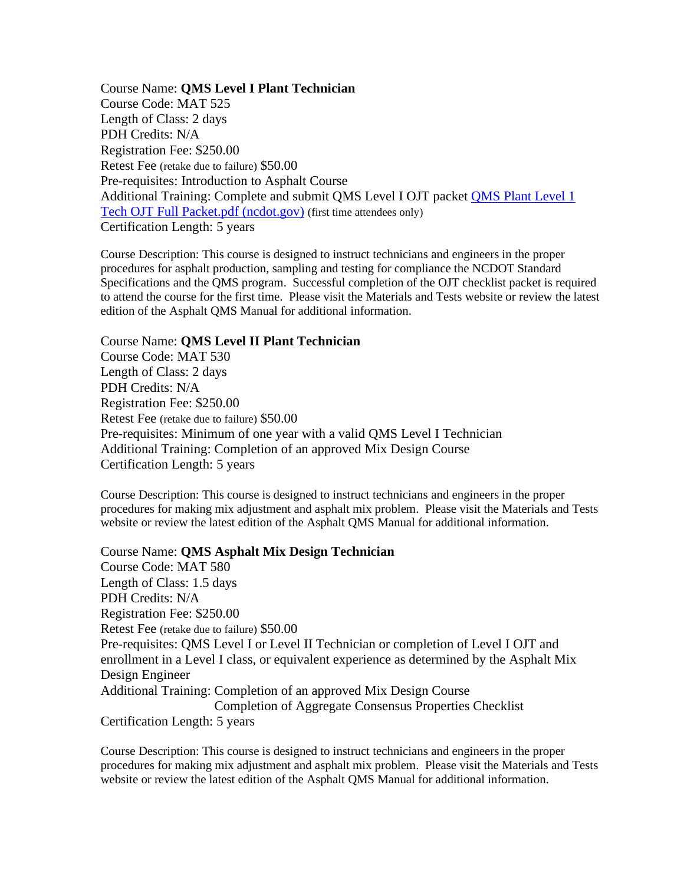Course Name: **QMS Level I Plant Technician** Course Code: MAT 525 Length of Class: 2 days PDH Credits: N/A Registration Fee: \$250.00 Retest Fee (retake due to failure) \$50.00 Pre-requisites: Introduction to Asphalt Course Additional Training: Complete and submit QMS Level I OJT packet [QMS Plant Level 1](https://connect.ncdot.gov/resources/Materials/Materials/QMS%20Plant%20Level%201%20Tech%20OJT%20Full%20Packet.pdf)  [Tech OJT Full Packet.pdf \(ncdot.gov\)](https://connect.ncdot.gov/resources/Materials/Materials/QMS%20Plant%20Level%201%20Tech%20OJT%20Full%20Packet.pdf) (first time attendees only) Certification Length: 5 years

Course Description: This course is designed to instruct technicians and engineers in the proper procedures for asphalt production, sampling and testing for compliance the NCDOT Standard Specifications and the QMS program. Successful completion of the OJT checklist packet is required to attend the course for the first time. Please visit the Materials and Tests website or review the latest edition of the Asphalt QMS Manual for additional information.

#### Course Name: **QMS Level II Plant Technician**

Course Code: MAT 530 Length of Class: 2 days PDH Credits: N/A Registration Fee: \$250.00 Retest Fee (retake due to failure) \$50.00 Pre-requisites: Minimum of one year with a valid QMS Level I Technician Additional Training: Completion of an approved Mix Design Course Certification Length: 5 years

Course Description: This course is designed to instruct technicians and engineers in the proper procedures for making mix adjustment and asphalt mix problem. Please visit the Materials and Tests website or review the latest edition of the Asphalt QMS Manual for additional information.

Course Name: **QMS Asphalt Mix Design Technician** Course Code: MAT 580 Length of Class: 1.5 days PDH Credits: N/A Registration Fee: \$250.00 Retest Fee (retake due to failure) \$50.00 Pre-requisites: QMS Level I or Level II Technician or completion of Level I OJT and enrollment in a Level I class, or equivalent experience as determined by the Asphalt Mix Design Engineer Additional Training: Completion of an approved Mix Design Course Completion of Aggregate Consensus Properties Checklist Certification Length: 5 years

Course Description: This course is designed to instruct technicians and engineers in the proper procedures for making mix adjustment and asphalt mix problem. Please visit the Materials and Tests website or review the latest edition of the Asphalt QMS Manual for additional information.